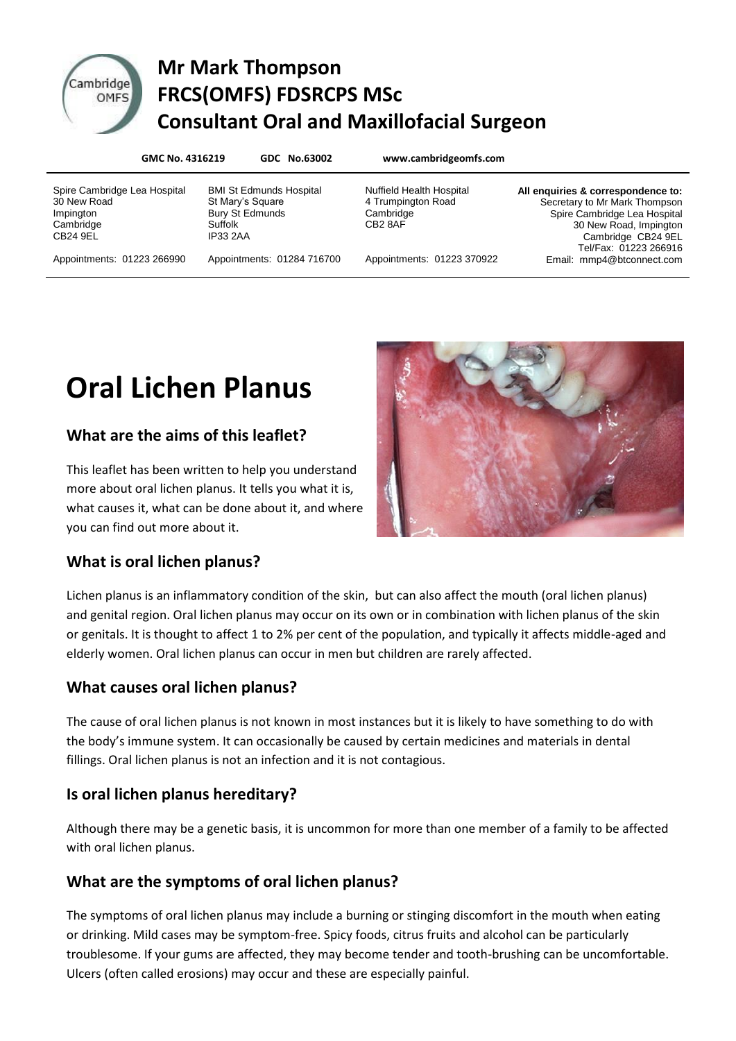

# Cambridge Mr Mark Thompson **DITIGGE FRCS(OMFS) FDSRCPS MSc Consultant Oral and Maxillofacial Surgeon**

**GMC No. 4316219 GDC No.63002 www.cambridgeomfs.com**

Spire Cambridge Lea Hospital 30 New Road Impington **Cambridge** CB24 9EL

Appointments: 01223 266990

BMI St Edmunds Hospital St Mary's Square Bury St Edmunds Suffolk IP33 2AA

Appointments: 01284 716700

Nuffield Health Hospital 4 Trumpington Road **Cambridge** CB2 8AF

Appointments: 01223 370922

**All enquiries & correspondence to:** Secretary to Mr Mark Thompson Spire Cambridge Lea Hospital 30 New Road, Impington Cambridge CB24 9EL Tel/Fax: 01223 266916 Email: mmp4@btconnect.com

# **Oral Lichen Planus**

# **What are the aims of this leaflet?**

This leaflet has been written to help you understand more about oral lichen planus. It tells you what it is, what causes it, what can be done about it, and where you can find out more about it.



#### **What is oral lichen planus?**

Lichen planus is an inflammatory condition of the skin, but can also affect the mouth (oral lichen planus) and genital region. Oral lichen planus may occur on its own or in combination with lichen planus of the skin or genitals. It is thought to affect 1 to 2% per cent of the population, and typically it affects middle-aged and elderly women. Oral lichen planus can occur in men but children are rarely affected.

# **What causes oral lichen planus?**

The cause of oral lichen planus is not known in most instances but it is likely to have something to do with the body's immune system. It can occasionally be caused by certain medicines and materials in dental fillings. Oral lichen planus is not an infection and it is not contagious.

# **Is oral lichen planus hereditary?**

Although there may be a genetic basis, it is uncommon for more than one member of a family to be affected with oral lichen planus.

# **What are the symptoms of oral lichen planus?**

The symptoms of oral lichen planus may include a burning or stinging discomfort in the mouth when eating or drinking. Mild cases may be symptom-free. Spicy foods, citrus fruits and alcohol can be particularly troublesome. If your gums are affected, they may become tender and tooth-brushing can be uncomfortable. Ulcers (often called erosions) may occur and these are especially painful.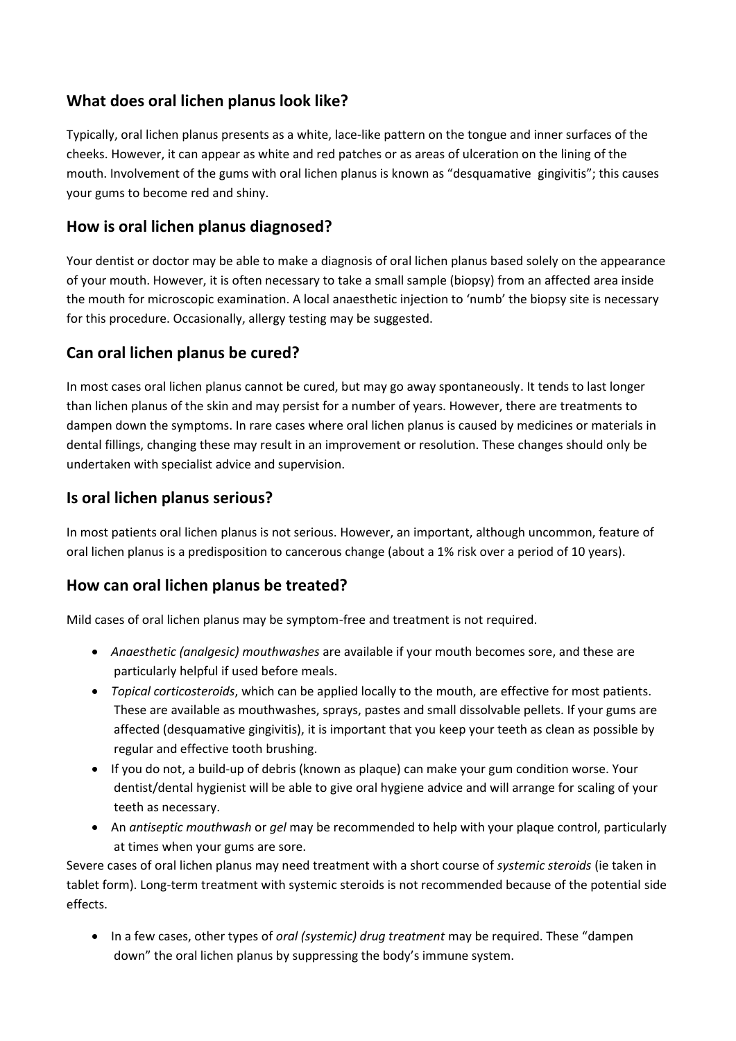#### **What does oral lichen planus look like?**

Typically, oral lichen planus presents as a white, lace-like pattern on the tongue and inner surfaces of the cheeks. However, it can appear as white and red patches or as areas of ulceration on the lining of the mouth. Involvement of the gums with oral lichen planus is known as "desquamative gingivitis"; this causes your gums to become red and shiny.

#### **How is oral lichen planus diagnosed?**

Your dentist or doctor may be able to make a diagnosis of oral lichen planus based solely on the appearance of your mouth. However, it is often necessary to take a small sample (biopsy) from an affected area inside the mouth for microscopic examination. A local anaesthetic injection to 'numb' the biopsy site is necessary for this procedure. Occasionally, allergy testing may be suggested.

#### **Can oral lichen planus be cured?**

In most cases oral lichen planus cannot be cured, but may go away spontaneously. It tends to last longer than lichen planus of the skin and may persist for a number of years. However, there are treatments to dampen down the symptoms. In rare cases where oral lichen planus is caused by medicines or materials in dental fillings, changing these may result in an improvement or resolution. These changes should only be undertaken with specialist advice and supervision.

#### **Is oral lichen planus serious?**

In most patients oral lichen planus is not serious. However, an important, although uncommon, feature of oral lichen planus is a predisposition to cancerous change (about a 1% risk over a period of 10 years).

#### **How can oral lichen planus be treated?**

Mild cases of oral lichen planus may be symptom-free and treatment is not required.

- *Anaesthetic (analgesic) mouthwashes* are available if your mouth becomes sore, and these are particularly helpful if used before meals.
- *Topical corticosteroids*, which can be applied locally to the mouth, are effective for most patients. These are available as mouthwashes, sprays, pastes and small dissolvable pellets. If your gums are affected (desquamative gingivitis), it is important that you keep your teeth as clean as possible by regular and effective tooth brushing.
- If you do not, a build-up of debris (known as plaque) can make your gum condition worse. Your dentist/dental hygienist will be able to give oral hygiene advice and will arrange for scaling of your teeth as necessary.
- An *antiseptic mouthwash* or *gel* may be recommended to help with your plaque control, particularly at times when your gums are sore.

Severe cases of oral lichen planus may need treatment with a short course of *systemic steroids* (ie taken in tablet form). Long-term treatment with systemic steroids is not recommended because of the potential side effects.

 In a few cases, other types of *oral (systemic) drug treatment* may be required. These "dampen down" the oral lichen planus by suppressing the body's immune system.